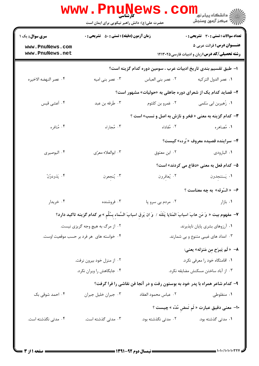|                                    | حضرت علی(ع): دانش راهبر نیکویی برای ایمان است      |                                                                                                                           | ڪ دانشڪاه پيا <sub>م</sub> نور<br><mark>ر</mark> 7 مرڪز آزمون وسنڊش                        |  |
|------------------------------------|----------------------------------------------------|---------------------------------------------------------------------------------------------------------------------------|--------------------------------------------------------------------------------------------|--|
| <b>سری سوال :</b> یک ۱             | <b>زمان آزمون (دقیقه) : تستی : 50 ٪ تشریحی : 0</b> |                                                                                                                           | <b>تعداد سوالات : تستی : 30 ٪ تشریحی : 0</b>                                               |  |
| www.PnuNews.com<br>www.PnuNews.net |                                                    |                                                                                                                           | <b>عنـــوان درس:</b> قرائت عربي ۵<br><b>رشته تحصیلی/کد درس:</b> زبان و ادبیات فارسی۱۲۱۳۰۲۵ |  |
|                                    |                                                    | ا– طبق تقسیم بندی تاریخ ادبیات عرب ، سومین دوره کدام گزینه است؟                                                           |                                                                                            |  |
| ۰۴ عصر النهضه الاخيره              | ۰۳ عصر بنی امیه                                    | ٠٢ عصر بني العباس                                                                                                         | ٠١. عصر الدول التركيه                                                                      |  |
|                                    |                                                    | ۲- قصاید کدام یک از شعرای دوره جاهلی به «حولیات» مشهور است؟                                                               |                                                                                            |  |
| ۰۴ أعشى قيس                        | ۰۳ طَرفه بن عبد                                    | ۰۲ عَمرو بن کلثوم                                                                                                         | ۰۱ زًهیربن ابی سُلمی                                                                       |  |
|                                    |                                                    | <b>۳</b> - کدام گزینه به معنی « فخر و نازش به اصل و نسب» است ؟                                                            |                                                                                            |  |
| ۰۴ مُنافره                         | ۰۳ مُجاراه                                         | ۰۲ مُفاداه                                                                                                                | ۱. مُصاهره                                                                                 |  |
|                                    |                                                    |                                                                                                                           | ۴- سراینده قصیده معروف «بُرده» کیست؟                                                       |  |
| ۰۴ البوصيري                        | ۰۳ ابوالعلاء معرّى                                 | ۰۲ ابن معتوق                                                                                                              | ٠١. البارودي                                                                               |  |
|                                    |                                                    |                                                                                                                           | ۵– کدام فعل به معنی «دفاع می کردند» است؟                                                   |  |
| ۰۴ يَذودوُنَّ                      | ۰۳ يُنجعون                                         | ۰۲ يُعاقرون                                                                                                               | <b>۱</b> . يَستنجدون                                                                       |  |
|                                    |                                                    |                                                                                                                           | ۶- «السّوقه» به چه معناست ؟                                                                |  |
| ۰۴ خریدار                          | ۰۳ فروشنده                                         |                                                                                                                           | ۰۱ بازار میسرو پا $\cdot$ ۲۰۰ مردم بی سرو پا $\cdot$                                       |  |
|                                    |                                                    | ٧– مفهوم بيت « وَ مَن هابَ اسبابَ المَنايا يَنَلنَه /  وَ إن يَرقِ اسبابَ السَّماءِ بِسُلَّمِ » بر كدام گزينه تاكيد دارد؟ |                                                                                            |  |
|                                    | ۰۲ از مرگ به هیچ وجه گریزی نیست.                   |                                                                                                                           | ۰۱ آرزوهای بشری پایان ناپذیرند.                                                            |  |
|                                    | ۰۴ خواسته های  هر فرد بر حسب موقعیت اوست.          |                                                                                                                           | ۰۳ امداد های غیبی متنوع و بی شمارند.                                                       |  |
|                                    |                                                    |                                                                                                                           | ۸- «لَم يَبرَح مِن مَنزله» يعني:                                                           |  |
| ۰۲ از منزل خود بیرون نرفت.         |                                                    | ۰۱ اقامتگاه خود را معرفی نکرد.                                                                                            |                                                                                            |  |
|                                    | ۰۴ جایگاهش را ویران نکرد.                          | ۰۳ از آباد ساختن مسکنش مضایقه نکرد.                                                                                       |                                                                                            |  |
|                                    |                                                    | ۹- کدام شاعر همراه با پدر خود به بوستون رفت و در آنجا فن نقاشی را فرا گرفت؟                                               |                                                                                            |  |
| ۰۴ احمد شوقی بک                    | ۰۳ جبران خلیل جبران                                | ۰۲ عباس محمود العقاد                                                                                                      | ۰۱ منفلوطی                                                                                 |  |
|                                    |                                                    |                                                                                                                           | •۱- معنی دقیق عبارت « لَم تُمض مُدَّه » چیست ؟                                             |  |
| ۰۴ مدتی نگذشته است.                | ۰۳ مدتی گذشته است.                                 | ۰۲ مدتی نگذشته بود.                                                                                                       | ۰۱ مدتی گذشته بود.                                                                         |  |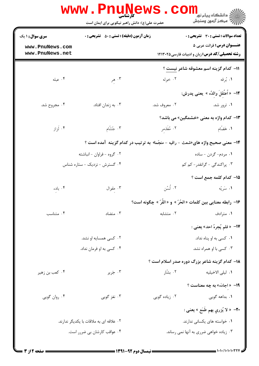|                                         | <b>WWW.PNUNE</b><br><b>کارشناسی</b><br>حضرت علی(ع): دانش راهبر نیکویی برای ایمان است |                              | ڪ دانشڪاه پيا <sub>م</sub> نور<br>7ء مرڪز آزمون وسنڊش                                      |
|-----------------------------------------|--------------------------------------------------------------------------------------|------------------------------|--------------------------------------------------------------------------------------------|
| <b>سری سوال :</b> ۱ یک                  | <b>زمان آزمون (دقیقه) : تستی : 50 ٪ تشریحی : 0</b>                                   |                              | تعداد سوالات : تستي : 30 ٪ تشريحي : 0                                                      |
| www.PnuNews.com<br>www.PnuNews.net      |                                                                                      |                              | <b>عنـــوان درس:</b> قرائت عربي ۵<br><b>رشته تحصیلی/کد درس:</b> زبان و ادبیات فارسی1۲۱۳۰۲۵ |
|                                         |                                                                                      |                              | 11– كدام گزينه اسم معشوقه شاعر نيست ؟                                                      |
| ۰۴ عبله                                 | ۰۳ هر                                                                                | ۰۲ خوله                      | ۰۱ بُرقه                                                                                   |
|                                         |                                                                                      |                              | 1۲–  « اَعتَقلَ والدُه »  يعنى پدرش:                                                       |
| ۰۴ مجروح شد.                            | ۰۳ به زندان افتاد.                                                                   | ۰۲ معروف شد.                 | ۰۱ ترور شد.                                                                                |
|                                         |                                                                                      |                              | 13- کدام واژه به معنی «خشمگین» می باشد؟                                                    |
| ۰۴ لَزاز                                | ۰۳ جَسَّام                                                                           | ۲. مُغَذمر                   | ۰۱ هَضَام                                                                                  |
|                                         | ۱۴- معنی صحیح واژه های«شعث - راقیه - منجّما» به ترتیب در کدام گزینه آمده است ؟       |                              |                                                                                            |
|                                         | ۰۲ گروه - فراوان - انباشته                                                           | 1. مردم- گردن - ساده         |                                                                                            |
|                                         | ۰۴ گسترش - نزدیک - ستاره شناس                                                        | ۰۳ پراکندگی - گرانقدر- کم کم |                                                                                            |
|                                         |                                                                                      |                              | 1۵– کدام کلمه جمع است ؟                                                                    |
| ۰۴ بادء                                 | ۰۳ مقوال                                                                             | ۲. لُسُن                     | ۰۱ سَريَّه                                                                                 |
|                                         |                                                                                      |                              | ۱۶− رابطه معنایی بین کلمات « الحُرّ » و « الفَّرّ » چگونه است؟                             |
| ۰۴ متناسب                               | ۰۳ متضاد                                                                             | ۰۲ متشابه                    | ۰۱ مترادف                                                                                  |
|                                         |                                                                                      |                              | ۱۷- « فلم يُجرهُ احد» يعني :                                                               |
|                                         | ۰۲ کسی همسایه او نشد.                                                                |                              | ۰۱ کسی به او پناه نداد.                                                                    |
|                                         | ۰۴ کسی به او فرمان نداد.                                                             |                              | ۰۳ کسی با او همراه نشد.                                                                    |
|                                         |                                                                                      |                              | ۱۸– کدام گزینه شاعر بزرگ دوره صدر اسلام است ؟                                              |
| ۰۴ کعب بن زهير                          | ۰۳ جَرير                                                                             | ۰۲ بشّار                     | <b>۱</b> . ليل <sub>ى</sub> الاخيليه                                                       |
|                                         |                                                                                      |                              | 19- « اجادَه» به چه معناست ؟                                                               |
| ۰۴ روان گويي                            | ۰۳ نغز گویی                                                                          | ۰۲ زیاده گویی                | ۰۱ بداهه گویی                                                                              |
|                                         |                                                                                      |                              | <b>٢٠</b> – « لا يُزري بهم طَمَع » يعنـى :                                                 |
| ۰۲ علاقه ای به ملاقات با یکدیگر ندارند. |                                                                                      | ۰۱ خواسته های یکسانی ندارند. |                                                                                            |
|                                         | ۰۴ عواقب کارشان بی ضررر است.                                                         |                              | ۰۳ زیاده خواهی ضرری به آنها نمی رساند.                                                     |
|                                         |                                                                                      |                              |                                                                                            |